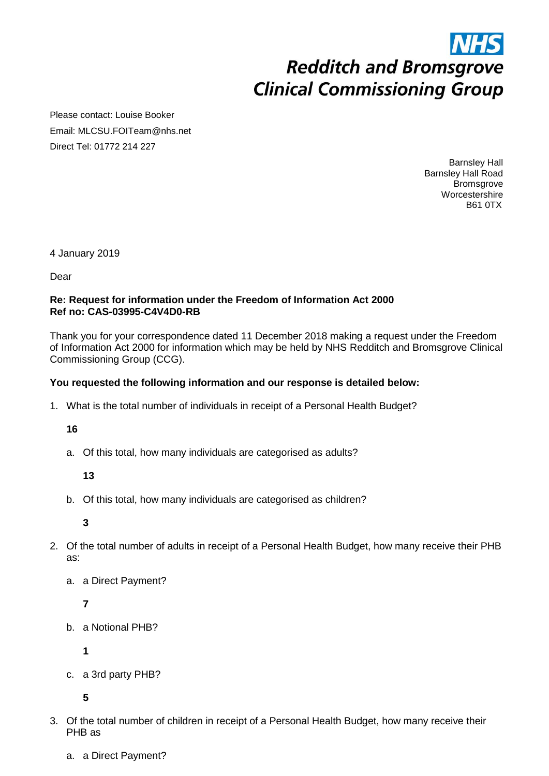# **Redditch and Bromsgrove Clinical Commissioning Group**

Please contact: Louise Booker Email: MLCSU.FOITeam@nhs.net Direct Tel: 01772 214 227

> Barnsley Hall Barnsley Hall Road **Bromsgrove Worcestershire** B61 0TX

4 January 2019

Dear

#### **Re: Request for information under the Freedom of Information Act 2000 Ref no: CAS-03995-C4V4D0-RB**

Thank you for your correspondence dated 11 December 2018 making a request under the Freedom of Information Act 2000 for information which may be held by NHS Redditch and Bromsgrove Clinical Commissioning Group (CCG).

### **You requested the following information and our response is detailed below:**

1. What is the total number of individuals in receipt of a Personal Health Budget?

**16**

a. Of this total, how many individuals are categorised as adults?

**13**

b. Of this total, how many individuals are categorised as children?

**3**

- 2. Of the total number of adults in receipt of a Personal Health Budget, how many receive their PHB as:
	- a. a Direct Payment?

**7**

b. a Notional PHB?

**1**

c. a 3rd party PHB?

**5**

- 3. Of the total number of children in receipt of a Personal Health Budget, how many receive their PHB as
	- a. a Direct Payment?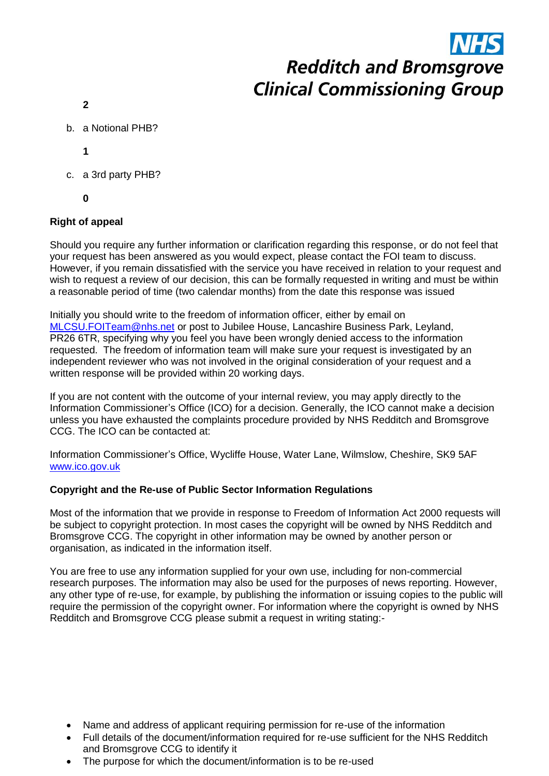# **Redditch and Bromsgrove Clinical Commissioning Group**

- **2**
- b. a Notional PHB?
	- **1**
- c. a 3rd party PHB?
	- **0**

## **Right of appeal**

Should you require any further information or clarification regarding this response, or do not feel that your request has been answered as you would expect, please contact the FOI team to discuss. However, if you remain dissatisfied with the service you have received in relation to your request and wish to request a review of our decision, this can be formally requested in writing and must be within a reasonable period of time (two calendar months) from the date this response was issued

Initially you should write to the freedom of information officer, either by email on [MLCSU.FOITeam@nhs.net](mailto:MLCSU.FOITeam@nhs.net) or post to Jubilee House, Lancashire Business Park, Leyland, PR26 6TR, specifying why you feel you have been wrongly denied access to the information requested. The freedom of information team will make sure your request is investigated by an independent reviewer who was not involved in the original consideration of your request and a written response will be provided within 20 working days.

If you are not content with the outcome of your internal review, you may apply directly to the Information Commissioner's Office (ICO) for a decision. Generally, the ICO cannot make a decision unless you have exhausted the complaints procedure provided by NHS Redditch and Bromsgrove CCG. The ICO can be contacted at:

Information Commissioner's Office, Wycliffe House, Water Lane, Wilmslow, Cheshire, SK9 5AF [www.ico.gov.uk](http://www.ico.gov.uk/) 

#### **Copyright and the Re-use of Public Sector Information Regulations**

Most of the information that we provide in response to Freedom of Information Act 2000 requests will be subject to copyright protection. In most cases the copyright will be owned by NHS Redditch and Bromsgrove CCG. The copyright in other information may be owned by another person or organisation, as indicated in the information itself.

You are free to use any information supplied for your own use, including for non-commercial research purposes. The information may also be used for the purposes of news reporting. However, any other type of re-use, for example, by publishing the information or issuing copies to the public will require the permission of the copyright owner. For information where the copyright is owned by NHS Redditch and Bromsgrove CCG please submit a request in writing stating:-

- Name and address of applicant requiring permission for re-use of the information
- Full details of the document/information required for re-use sufficient for the NHS Redditch and Bromsgrove CCG to identify it
- The purpose for which the document/information is to be re-used